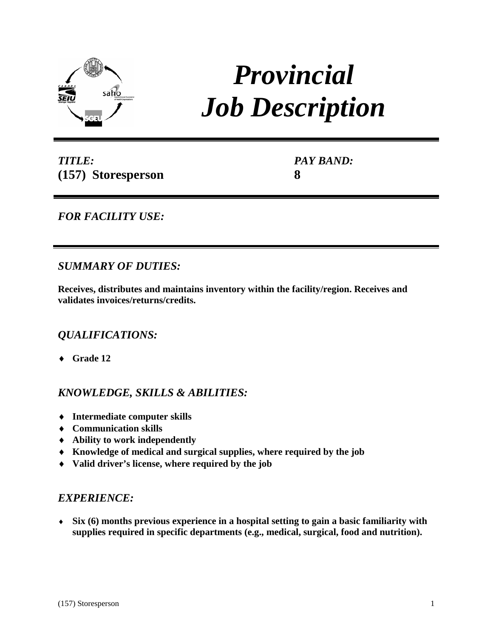

# *Provincial Job Description*

*TITLE:* **(157) Storesperson** *PAY BAND:* **8**

*FOR FACILITY USE:* 

## *SUMMARY OF DUTIES:*

**Receives, distributes and maintains inventory within the facility/region. Receives and validates invoices/returns/credits.**

# *QUALIFICATIONS:*

♦ **Grade 12** 

# *KNOWLEDGE, SKILLS & ABILITIES:*

- ♦ **Intermediate computer skills**
- ♦ **Communication skills**
- ♦ **Ability to work independently**
- ♦ **Knowledge of medical and surgical supplies, where required by the job**
- ♦ **Valid driver's license, where required by the job**

## *EXPERIENCE:*

♦ **Six (6) months previous experience in a hospital setting to gain a basic familiarity with supplies required in specific departments (e.g., medical, surgical, food and nutrition).**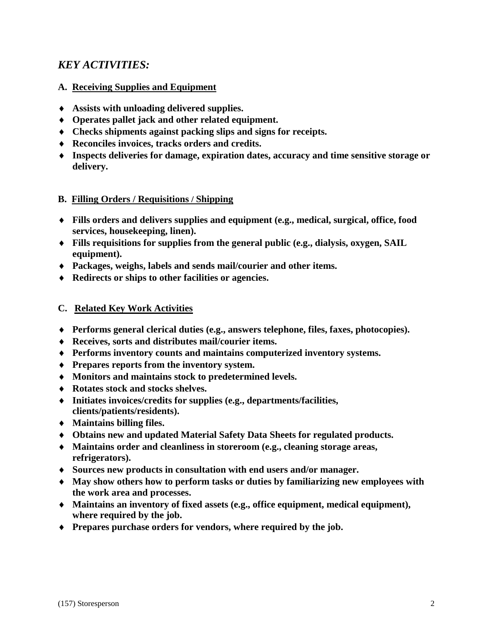# *KEY ACTIVITIES:*

### **A. Receiving Supplies and Equipment**

- ♦ **Assists with unloading delivered supplies.**
- ♦ **Operates pallet jack and other related equipment.**
- ♦ **Checks shipments against packing slips and signs for receipts.**
- ♦ **Reconciles invoices, tracks orders and credits.**
- ♦ **Inspects deliveries for damage, expiration dates, accuracy and time sensitive storage or delivery.**

#### **B. Filling Orders / Requisitions / Shipping**

- ♦ **Fills orders and delivers supplies and equipment (e.g., medical, surgical, office, food services, housekeeping, linen).**
- ♦ **Fills requisitions for supplies from the general public (e.g., dialysis, oxygen, SAIL equipment).**
- ♦ **Packages, weighs, labels and sends mail/courier and other items.**
- ♦ **Redirects or ships to other facilities or agencies.**

#### **C. Related Key Work Activities**

- ♦ **Performs general clerical duties (e.g., answers telephone, files, faxes, photocopies).**
- ♦ **Receives, sorts and distributes mail/courier items.**
- ♦ **Performs inventory counts and maintains computerized inventory systems.**
- ♦ **Prepares reports from the inventory system.**
- ♦ **Monitors and maintains stock to predetermined levels.**
- ♦ **Rotates stock and stocks shelves.**
- ♦ **Initiates invoices/credits for supplies (e.g., departments/facilities, clients/patients/residents).**
- ♦ **Maintains billing files.**
- ♦ **Obtains new and updated Material Safety Data Sheets for regulated products.**
- ♦ **Maintains order and cleanliness in storeroom (e.g., cleaning storage areas, refrigerators).**
- ♦ **Sources new products in consultation with end users and/or manager.**
- ♦ **May show others how to perform tasks or duties by familiarizing new employees with the work area and processes.**
- ♦ **Maintains an inventory of fixed assets (e.g., office equipment, medical equipment), where required by the job.**
- ♦ **Prepares purchase orders for vendors, where required by the job.**